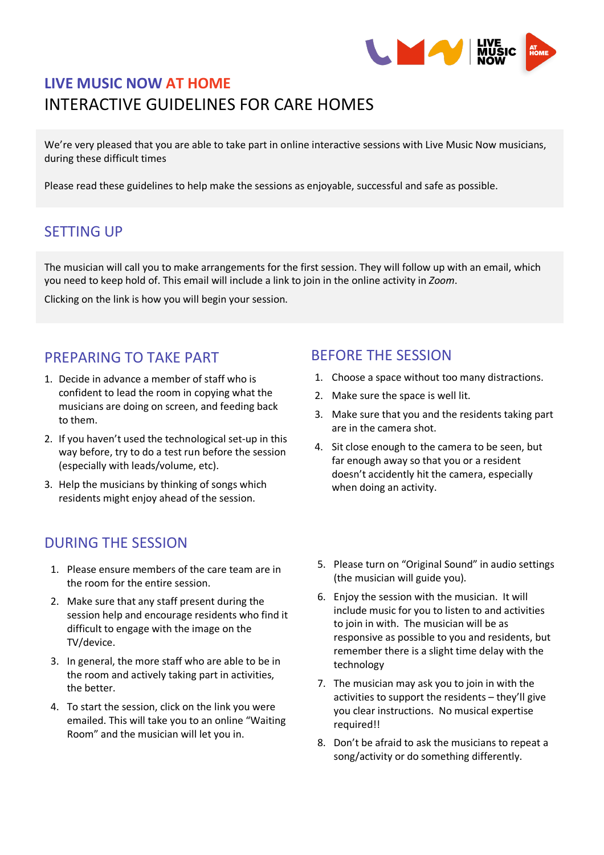

# **LIVE MUSIC NOW AT HOME** INTERACTIVE GUIDELINES FOR CARE HOMES

We're very pleased that you are able to take part in online interactive sessions with Live Music Now musicians, during these difficult times

Please read these guidelines to help make the sessions as enjoyable, successful and safe as possible.

### SETTING UP

The musician will call you to make arrangements for the first session. They will follow up with an email, which you need to keep hold of. This email will include a link to join in the online activity in *Zoom*.

Clicking on the link is how you will begin your session.

#### PREPARING TO TAKE PART

- 1. Decide in advance a member of staff who is confident to lead the room in copying what the musicians are doing on screen, and feeding back to them.
- 2. If you haven't used the technological set-up in this way before, try to do a test run before the session (especially with leads/volume, etc).
- 3. Help the musicians by thinking of songs which residents might enjoy ahead of the session.

#### DURING THE SESSION

- 1. Please ensure members of the care team are in the room for the entire session.
- 2. Make sure that any staff present during the session help and encourage residents who find it difficult to engage with the image on the TV/device.
- 3. In general, the more staff who are able to be in the room and actively taking part in activities, the better.
- 4. To start the session, click on the link you were emailed. This will take you to an online "Waiting Room" and the musician will let you in.

#### BEFORE THE SESSION

- 1. Choose a space without too many distractions.
- 2. Make sure the space is well lit.
- 3. Make sure that you and the residents taking part are in the camera shot.
- 4. Sit close enough to the camera to be seen, but far enough away so that you or a resident doesn't accidently hit the camera, especially when doing an activity.
- 5. Please turn on "Original Sound" in audio settings (the musician will guide you).
- 6. Enjoy the session with the musician. It will include music for you to listen to and activities to join in with. The musician will be as responsive as possible to you and residents, but remember there is a slight time delay with the technology
- 7. The musician may ask you to join in with the activities to support the residents – they'll give you clear instructions. No musical expertise required!!
- 8. Don't be afraid to ask the musicians to repeat a song/activity or do something differently.